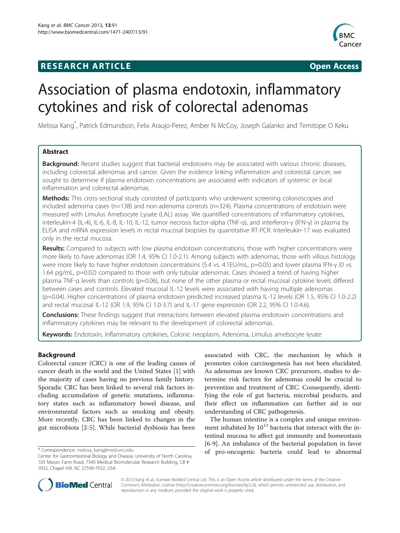## **RESEARCH ARTICLE Example 2014 CONSIDERING CONSIDERING CONSIDERING CONSIDERING CONSIDERING CONSIDERING CONSIDERING CONSIDERING CONSIDERING CONSIDERING CONSIDERING CONSIDERING CONSIDERING CONSIDERING CONSIDERING CONSIDE**



# Association of plasma endotoxin, inflammatory cytokines and risk of colorectal adenomas

Melissa Kang\* , Patrick Edmundson, Felix Araujo-Perez, Amber N McCoy, Joseph Galanko and Temitope O Keku

## Abstract

Background: Recent studies suggest that bacterial endotoxins may be associated with various chronic diseases, including colorectal adenomas and cancer. Given the evidence linking inflammation and colorectal cancer, we sought to determine if plasma endotoxin concentrations are associated with indicators of systemic or local inflammation and colorectal adenomas.

**Methods:** This cross-sectional study consisted of participants who underwent screening colonoscopies and included adenoma cases (n=138) and non-adenoma controls (n=324). Plasma concentrations of endotoxin were measured with Limulus Amebocyte Lysate (LAL) assay. We quantified concentrations of inflammatory cytokines, interleukin-4 (IL-4), IL-6, IL-8, IL-10, IL-12, tumor necrosis factor-alpha (TNF-α), and interferon-γ (IFN-γ) in plasma by ELISA and mRNA expression levels in rectal mucosal biopsies by quantitative RT-PCR. Interleukin-17 was evaluated only in the rectal mucosa.

Results: Compared to subjects with low plasma endotoxin concentrations, those with higher concentrations were more likely to have adenomas (OR 1.4, 95% CI 1.0-2.1). Among subjects with adenomas, those with villous histology were more likely to have higher endotoxin concentrations (5.4 vs. 4.1EU/mL, p=0.05) and lower plasma IFN-γ (0 vs. 1.64 pg/mL, p=0.02) compared to those with only tubular adenomas. Cases showed a trend of having higher plasma TNF-α levels than controls (p=0.06), but none of the other plasma or rectal mucosal cytokine levels differed between cases and controls. Elevated mucosal IL-12 levels were associated with having multiple adenomas (p=0.04). Higher concentrations of plasma endotoxin predicted increased plasma IL-12 levels (OR 1.5, 95% CI 1.0-2.2) and rectal mucosal IL-12 (OR 1.9, 95% CI 1.0-3.7) and IL-17 gene expression (OR 2.2, 95% CI 1.0-4.6).

**Conclusions:** These findings suggest that interactions between elevated plasma endotoxin concentrations and inflammatory cytokines may be relevant to the development of colorectal adenomas.

Keywords: Endotoxin, Inflammatory cytokines, Colonic neoplasm, Adenoma, Limulus amebocyte lysate

## Background

Colorectal cancer (CRC) is one of the leading causes of cancer death in the world and the United States [\[1](#page-6-0)] with the majority of cases having no previous family history. Sporadic CRC has been linked to several risk factors including accumulation of genetic mutations, inflammatory states such as inflammatory bowel disease, and environmental factors such as smoking and obesity. More recently, CRC has been linked to changes in the gut microbiota [[2-5](#page-6-0)]. While bacterial dysbiosis has been

associated with CRC, the mechanism by which it promotes colon carcinogenesis has not been elucidated. As adenomas are known CRC precursors, studies to determine risk factors for adenomas could be crucial to prevention and treatment of CRC. Consequently, identifying the role of gut bacteria, microbial products, and their effect on inflammation can further aid in our understanding of CRC pathogenesis.

The human intestine is a complex and unique environment inhabited by  $10^{13}$  bacteria that interact with the intestinal mucosa to affect gut immunity and homeostasis [[6](#page-6-0)[-9](#page-7-0)]. An imbalance of the bacterial population in favor of pro-oncogenic bacteria could lead to abnormal \* Correspondence: [melissa\\_kang@med.unc.edu](mailto:melissa_kang@med.unc.edu)



© 2013 Kang et al.; licensee BioMed Central Ltd. This is an Open Access article distributed under the terms of the Creative Commons Attribution License [\(http://creativecommons.org/licenses/by/2.0\)](http://creativecommons.org/licenses/by/2.0), which permits unrestricted use, distribution, and reproduction in any medium, provided the original work is properly cited.

Center for Gastrointestinal Biology and Disease, University of North Carolina, 103 Mason Farm Road, 7340 Medical Biomolecular Research Building, CB # 7032, Chapel Hill, NC 27599-7032, USA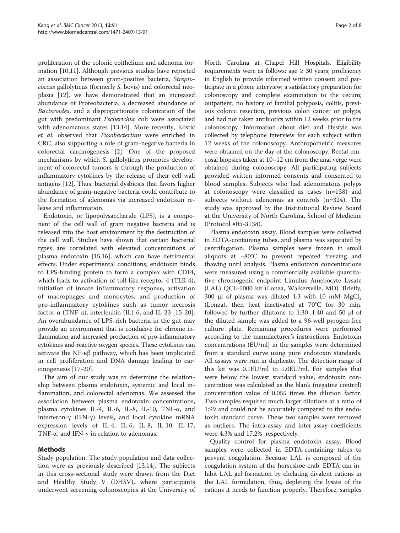proliferation of the colonic epithelium and adenoma formation [\[10,11\]](#page-7-0). Although previous studies have reported an association between gram-positive bacteria, Streptococcus gallolyticus (formerly S. bovis) and colorectal neoplasia [[12\]](#page-7-0), we have demonstrated that an increased abundance of Proteobacteria, a decreased abundance of Bacteroides, and a disproportionate colonization of the gut with predominant Escherichia coli were associated with adenomatous states [[13,14\]](#page-7-0). More recently, Kostic et al. observed that Fusobacterium were enriched in CRC, also supporting a role of gram-negative bacteria in colorectal carcinogenesis [[2\]](#page-6-0). One of the proposed mechanisms by which S. gallolyticus promotes development of colorectal tumors is through the production of inflammatory cytokines by the release of their cell wall antigens [[12\]](#page-7-0). Thus, bacterial dysbiosis that favors higher abundance of gram-negative bacteria could contribute to the formation of adenomas via increased endotoxin release and inflammation.

Endotoxin, or lipopolysaccharide (LPS), is a component of the cell wall of gram negative bacteria and is released into the host environment by the destruction of the cell wall. Studies have shown that certain bacterial types are correlated with elevated concentrations of plasma endotoxin [[15,16](#page-7-0)], which can have detrimental effects. Under experimental conditions, endotoxin binds to LPS-binding protein to form a complex with CD14, which leads to activation of toll-like receptor 4 (TLR-4), initiation of innate inflammatory response, activation of macrophages and monocytes, and production of pro-inflammatory cytokines such as tumor necrosis factor- $\alpha$  (TNF- $\alpha$ ), interleukin (IL)-6, and IL-23 [[15](#page-7-0)-[20](#page-7-0)]. An overabundance of LPS-rich bacteria in the gut may provide an environment that is conducive for chronic inflammation and increased production of pro-inflammatory cytokines and reactive oxygen species. These cytokines can activate the NF-κβ pathway, which has been implicated in cell proliferation and DNA damage leading to carcinogenesis [\[17](#page-7-0)-[20](#page-7-0)].

The aim of our study was to determine the relationship between plasma endotoxin, systemic and local inflammation, and colorectal adenomas. We assessed the association between plasma endotoxin concentrations, plasma cytokines IL-4, IL-6, IL-8, IL-10, TNF-α, and interferon-γ (IFN-γ) levels, and local cytokine mRNA expression levels of IL-4, IL-6, IL-8, IL-10, IL-17, TNF-α, and IFN-γ in relation to adenomas.

## Methods

Study population. The study population and data collection were as previously described [[13,14\]](#page-7-0). The subjects in this cross-sectional study were drawn from the Diet and Healthy Study V (DHSV), where participants underwent screening colonoscopies at the University of North Carolina at Chapel Hill Hospitals. Eligibility requirements were as follows: age  $\geq$  30 years; proficiency in English to provide informed written consent and participate in a phone interview; a satisfactory preparation for colonoscopy and complete examination to the cecum; outpatient; no history of familial polyposis, colitis, previous colonic resection, previous colon cancer or polyps; and had not taken antibiotics within 12 weeks prior to the colonoscopy. Information about diet and lifestyle was collected by telephone interview for each subject within 12 weeks of the colonoscopy. Anthropometric measures were obtained on the day of the colonoscopy. Rectal mucosal biopsies taken at 10–12 cm from the anal verge were obtained during colonoscopy. All participating subjects provided written informed consents and consented to blood samples. Subjects who had adenomatous polyps at colonoscopy were classified as cases (n=138) and subjects without adenomas as controls (n=324). The study was approved by the Institutional Review Board at the University of North Carolina, School of Medicine (Protocol #05-3138).

Plasma endotoxin assay. Blood samples were collected in EDTA-containing tubes, and plasma was separated by centrifugation. Plasma samples were frozen in small aliquots at −80°C to prevent repeated freezing and thawing until analysis. Plasma endotoxin concentrations were measured using a commercially available quantitative chromogenic endpoint Limulus Amebocyte Lysate (LAL) QCL-1000 kit (Lonza, Walkersville, MD). Briefly, 300 μl of plasma was diluted 1:3 with 10 mM  $MgCl<sub>2</sub>$ (Lonza), then heat inactivated at 70°C for 30 min, followed by further dilutions to 1:30–1:40 and 50 μl of the diluted sample was added to a 96-well pyrogen-free culture plate. Remaining procedures were performed according to the manufacturer's instructions. Endotoxin concentrations (EU/ml) in the samples were determined from a standard curve using pure endotoxin standards. All assays were run in duplicate. The detection range of this kit was 0.1EU/ml to 1.0EU/ml. For samples that were below the lowest standard value, endotoxin concentration was calculated as the blank (negative control) concentration value of 0.055 times the dilution factor. Two samples required much larger dilutions at a ratio of 1:99 and could not be accurately compared to the endotoxin standard curve. These two samples were removed as outliers. The intra-assay and inter-assay coefficients were 4.3% and 17.2%, respectively.

Quality control for plasma endotoxin assay. Blood samples were collected in EDTA-containing tubes to prevent coagulation. Because LAL is composed of the coagulation system of the horseshoe crab, EDTA can inhibit LAL gel formation by chelating divalent cations in the LAL formulation, thus, depleting the lysate of the cations it needs to function properly. Therefore, samples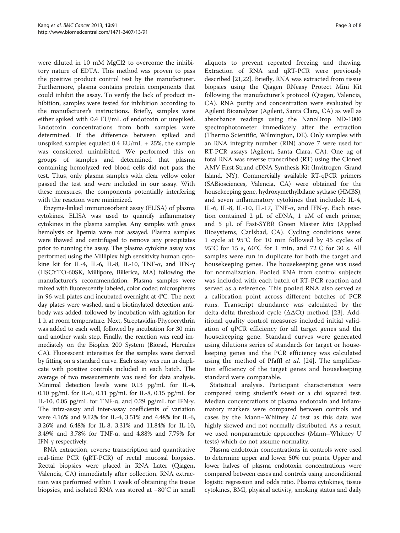were diluted in 10 mM MgCl2 to overcome the inhibitory nature of EDTA. This method was proven to pass the positive product control test by the manufacturer. Furthermore, plasma contains protein components that could inhibit the assay. To verify the lack of product inhibition, samples were tested for inhibition according to the manufacturer's instructions. Briefly, samples were either spiked with 0.4 EU/mL of endotoxin or unspiked. Endotoxin concentrations from both samples were determined. If the difference between spiked and unspiked samples equaled  $0.4$  EU/mL + 25%, the sample was considered uninhibited. We performed this on groups of samples and determined that plasma containing hemolyzed red blood cells did not pass the test. Thus, only plasma samples with clear yellow color passed the test and were included in our assay. With these measures, the components potentially interfering with the reaction were minimized.

Enzyme-linked immunosorbent assay (ELISA) of plasma cytokines. ELISA was used to quantify inflammatory cytokines in the plasma samples. Any samples with gross hemolysis or lipemia were not assayed. Plasma samples were thawed and centrifuged to remove any precipitates prior to running the assay. The plasma cytokine assay was performed using the Milliplex high sensitivity human cytokine kit for IL-4, IL-6, IL-8, IL-10, TNF- $\alpha$ , and IFN- $\gamma$ (HSCYTO-60SK, Millipore, Billerica, MA) following the manufacturer's recommendation. Plasma samples were mixed with fluorescently labeled, color coded microspheres in 96-well plates and incubated overnight at 4°C. The next day plates were washed, and a biotinylated detection antibody was added, followed by incubation with agitation for 1 h at room temperature. Next, Streptavidin-Phycoerythrin was added to each well, followed by incubation for 30 min and another wash step. Finally, the reaction was read immediately on the Bioplex 200 System (Biorad, Hercules CA). Fluorescent intensities for the samples were derived by fitting on a standard curve. Each assay was run in duplicate with positive controls included in each batch. The average of two measurements was used for data analysis. Minimal detection levels were 0.13 pg/mL for IL-4, 0.10 pg/mL for IL-6, 0.11 pg/mL for IL-8, 0.15 pg/mL for IL-10, 0.05 pg/mL for TNF- $\alpha$ , and 0.29 pg/mL for IFN- $\gamma$ . The intra-assay and inter-assay coefficients of variation were 4.16% and 9.12% for IL-4, 3.51% and 4.48% for IL-6, 3.26% and 6.48% for IL-8, 3.31% and 11.84% for IL-10, 3.49% and 3.78% for TNF-α, and 4.88% and 7.79% for IFN-γ respectively.

RNA extraction, reverse transcription and quantitative real-time PCR (qRT-PCR) of rectal mucosal biopsies. Rectal biopsies were placed in RNA Later (Qiagen, Valencia, CA) immediately after collection. RNA extraction was performed within 1 week of obtaining the tissue biopsies, and isolated RNA was stored at −80°C in small

aliquots to prevent repeated freezing and thawing. Extraction of RNA and qRT-PCR were previously described [[21](#page-7-0),[22](#page-7-0)]. Briefly, RNA was extracted from tissue biopsies using the Qiagen RNeasy Protect Mini Kit following the manufacturer's protocol (Qiagen, Valencia, CA). RNA purity and concentration were evaluated by Agilent Bioanalyzer (Agilent, Santa Clara, CA) as well as absorbance readings using the NanoDrop ND-1000 spectrophotometer immediately after the extraction (Thermo Scientific, Wilmington, DE). Only samples with an RNA integrity number (RIN) above 7 were used for RT-PCR assays (Agilent, Santa Clara, CA). One μg of total RNA was reverse transcribed (RT) using the Cloned AMV First-Strand cDNA Synthesis Kit (Invitrogen, Grand Island, NY). Commercially available RT-qPCR primers (SABiosciences, Valencia, CA) were obtained for the housekeeping gene, hydroxymethylbilane sythase (HMBS), and seven inflammatory cytokines that included: IL-4, IL-6, IL-8, IL-10, IL-17, TNF-α, and IFN-γ. Each reaction contained 2 μL of cDNA, 1 μM of each primer, and 5 μL of Fast-SYBR Green Master Mix (Applied Biosystems, Carlsbad, CA). Cycling conditions were: 1 cycle at 95°C for 10 min followed by 45 cycles of 95°C for 15 s, 60°C for 1 min, and 72°C for 30 s. All samples were run in duplicate for both the target and housekeeping genes. The housekeeping gene was used for normalization. Pooled RNA from control subjects was included with each batch of RT-PCR reaction and served as a reference. This pooled RNA also served as a calibration point across different batches of PCR runs. Transcript abundance was calculated by the delta-delta threshold cycle (ΔΔCt) method [\[23](#page-7-0)]. Additional quality control measures included initial validation of qPCR efficiency for all target genes and the housekeeping gene. Standard curves were generated using dilutions series of standards for target or housekeeping genes and the PCR efficiency was calculated using the method of Pfaffl et al. [[24](#page-7-0)]. The amplification efficiency of the target genes and housekeeping standard were comparable.

Statistical analysis. Participant characteristics were compared using student's t-test or a chi squared test. Median concentrations of plasma endotoxin and inflammatory markers were compared between controls and cases by the Mann–Whitney  $U$  test as this data was highly skewed and not normally distributed. As a result, we used nonparametric approaches (Mann–Whitney U tests) which do not assume normality.

Plasma endotoxin concentrations in controls were used to determine upper and lower 50% cut points. Upper and lower halves of plasma endotoxin concentrations were compared between cases and controls using unconditional logistic regression and odds ratio. Plasma cytokines, tissue cytokines, BMI, physical activity, smoking status and daily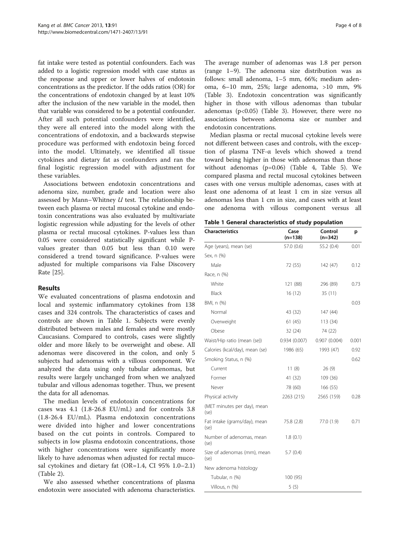fat intake were tested as potential confounders. Each was added to a logistic regression model with case status as the response and upper or lower halves of endotoxin concentrations as the predictor. If the odds ratios (OR) for the concentrations of endotoxin changed by at least 10% after the inclusion of the new variable in the model, then that variable was considered to be a potential confounder. After all such potential confounders were identified, they were all entered into the model along with the concentrations of endotoxin, and a backwards stepwise procedure was performed with endotoxin being forced into the model. Ultimately, we identified all tissue cytokines and dietary fat as confounders and ran the final logistic regression model with adjustment for these variables.

Associations between endotoxin concentrations and adenoma size, number, grade and location were also assessed by Mann–Whitney  $U$  test. The relationship between each plasma or rectal mucosal cytokine and endotoxin concentrations was also evaluated by multivariate logistic regression while adjusting for the levels of other plasma or rectal mucosal cytokines. P-values less than 0.05 were considered statistically significant while Pvalues greater than 0.05 but less than 0.10 were considered a trend toward significance. P-values were adjusted for multiple comparisons via False Discovery Rate [[25\]](#page-7-0).

## Results

We evaluated concentrations of plasma endotoxin and local and systemic inflammatory cytokines from 138 cases and 324 controls. The characteristics of cases and controls are shown in Table 1. Subjects were evenly distributed between males and females and were mostly Caucasians. Compared to controls, cases were slightly older and more likely to be overweight and obese. All adenomas were discovered in the colon, and only 5 subjects had adenomas with a villous component. We analyzed the data using only tubular adenomas, but results were largely unchanged from when we analyzed tubular and villous adenomas together. Thus, we present the data for all adenomas.

The median levels of endotoxin concentrations for cases was 4.1 (1.8-26.8 EU/mL) and for controls 3.8 (1.8-26.4 EU/mL). Plasma endotoxin concentrations were divided into higher and lower concentrations based on the cut points in controls. Compared to subjects in low plasma endotoxin concentrations, those with higher concentrations were significantly more likely to have adenomas when adjusted for rectal mucosal cytokines and dietary fat (OR=1.4, CI 95% 1.0–2.1) (Table [2\)](#page-4-0).

We also assessed whether concentrations of plasma endotoxin were associated with adenoma characteristics.

The average number of adenomas was 1.8 per person (range 1–9). The adenoma size distribution was as follows: small adenoma, 1–5 mm, 66%; medium adenoma, 6–10 mm, 25%; large adenoma, >10 mm, 9% (Table [3](#page-4-0)). Endotoxin concentration was significantly higher in those with villous adenomas than tubular adenomas ( $p<0.05$ ) (Table [3\)](#page-4-0). However, there were no associations between adenoma size or number and endotoxin concentrations.

Median plasma or rectal mucosal cytokine levels were not different between cases and controls, with the exception of plasma TNF-α levels which showed a trend toward being higher in those with adenomas than those without adenomas (p=0.06) (Table [4](#page-5-0), Table [5\)](#page-5-0). We compared plasma and rectal mucosal cytokines between cases with one versus multiple adenomas, cases with at least one adenoma of at least 1 cm in size versus all adenomas less than 1 cm in size, and cases with at least one adenoma with villous component versus all

|  |  |  | Table 1 General characteristics of study population |  |  |  |
|--|--|--|-----------------------------------------------------|--|--|--|
|--|--|--|-----------------------------------------------------|--|--|--|

| <b>Characteristics</b>               | Case<br>$(n=138)$ | Control<br>$(n=342)$ | p     |
|--------------------------------------|-------------------|----------------------|-------|
| Age (years), mean (se)               | 57.0 (0.6)        | 55.2 (0.4)           | 0.01  |
| Sex, n (%)                           |                   |                      |       |
| Male                                 | 72 (55)           | 142 (47)             | 0.12  |
| Race, n (%)                          |                   |                      |       |
| White                                | 121 (88)          | 296 (89)             | 0.73  |
| Black                                | 16(12)            | 35(11)               |       |
| BMI, n (%)                           |                   |                      | 0.03  |
| Normal                               | 43 (32)           | 147 (44)             |       |
| Overweight                           | 61(45)            | 113 (34)             |       |
| Obese                                | 32(24)            | 74 (22)              |       |
| Waist/Hip ratio (mean (se))          | 0.934(0.007)      | 0.907(0.004)         | 0.001 |
| Calories (kcal/day), mean (se)       | 1986 (65)         | 1993 (47)            | 0.92  |
| Smoking Status, n (%)                |                   |                      | 0.62  |
| Current                              | 11(8)             | 26(9)                |       |
| Former                               | 41 (32)           | 109 (36)             |       |
| Never                                | 78 (60)           | 166 (55)             |       |
| Physical activity                    | 2263 (215)        | 2565 (159)           | 0.28  |
| (MET minutes per day), mean<br>(se)  |                   |                      |       |
| Fat intake (grams/day), mean<br>(se) | 75.8 (2.8)        | 77.0 (1.9)           | 0.71  |
| Number of adenomas, mean<br>(se)     | 1.8(0.1)          |                      |       |
| Size of adenomas (mm), mean<br>(se)  | 5.7(0.4)          |                      |       |
| New adenoma histology                |                   |                      |       |
| Tubular, n (%)                       | 100 (95)          |                      |       |
| Villous, n (%)                       | 5(5)              |                      |       |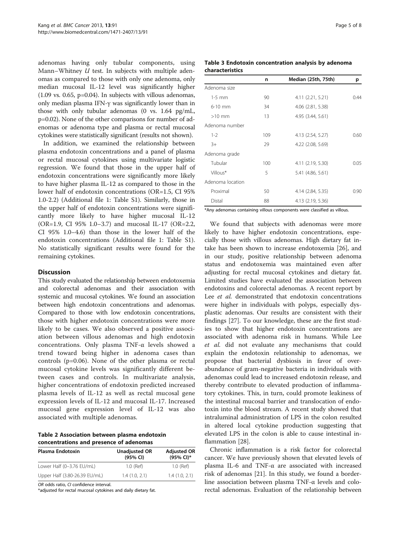<span id="page-4-0"></span>adenomas having only tubular components, using Mann–Whitney  $U$  test. In subjects with multiple adenomas as compared to those with only one adenoma, only median mucosal IL-12 level was significantly higher (1.09 vs. 0.65, p=0.04). In subjects with villous adenomas, only median plasma IFN-γ was significantly lower than in those with only tubular adenomas (0 vs. 1.64 pg/mL, p=0.02). None of the other comparisons for number of adenomas or adenoma type and plasma or rectal mucosal cytokines were statistically significant (results not shown).

In addition, we examined the relationship between plasma endotoxin concentrations and a panel of plasma or rectal mucosal cytokines using multivariate logistic regression. We found that those in the upper half of endotoxin concentrations were significantly more likely to have higher plasma IL-12 as compared to those in the lower half of endotoxin concentrations (OR=1.5, CI 95% 1.0-2.2) (Additional file [1](#page-6-0): Table S1). Similarly, those in the upper half of endotoxin concentrations were significantly more likely to have higher mucosal IL-12 (OR=1.9, CI 95% 1.0–3.7) and mucosal IL-17 (OR=2.2, CI 95% 1.0–4.6) than those in the lower half of the endotoxin concentrations (Additional file [1](#page-6-0): Table S1). No statistically significant results were found for the remaining cytokines.

## **Discussion**

This study evaluated the relationship between endotoxemia and colorectal adenomas and their association with systemic and mucosal cytokines. We found an association between high endotoxin concentrations and adenomas. Compared to those with low endotoxin concentrations, those with higher endotoxin concentrations were more likely to be cases. We also observed a positive association between villous adenomas and high endotoxin concentrations. Only plasma TNF-α levels showed a trend toward being higher in adenoma cases than controls (p=0.06). None of the other plasma or rectal mucosal cytokine levels was significantly different between cases and controls. In multivariate analysis, higher concentrations of endotoxin predicted increased plasma levels of IL-12 as well as rectal mucosal gene expression levels of IL-12 and mucosal IL-17. Increased mucosal gene expression level of IL-12 was also associated with multiple adenomas.

Table 2 Association between plasma endotoxin concentrations and presence of adenomas

| .<br>Plasma Endotoxin         | <b>Unadjusted OR</b><br>(95% CI) | <b>Adjusted OR</b><br>(95% CI)* |
|-------------------------------|----------------------------------|---------------------------------|
| Lower Half (0-3.76 EU/mL)     | $1.0$ (Ref)                      | $1.0$ (Ref)                     |
| Upper Half (3.80-26.39 EU/mL) | 1.4(1.0.2.1)                     | 1.4(1.0, 2.1)                   |

OR odds ratio, CI confidence interval.

\*adjusted for rectal mucosal cytokines and daily dietary fat.

## Table 3 Endotoxin concentration analysis by adenoma characteristics

|                  | n   | Median (25th, 75th) | р    |
|------------------|-----|---------------------|------|
| Adenoma size     |     |                     |      |
| $1-5$ mm         | 90  | 4.11 (2.21, 5.21)   | 0.44 |
| $6-10$ mm        | 34  | 4.06 (2.81, 5.38)   |      |
| $>10$ mm         | 13  | 4.95 (3.44, 5.61)   |      |
| Adenoma number   |     |                     |      |
| $1 - 2$          | 109 | 4.13 (2.54, 5.27)   | 0.60 |
| $3+$             | 29  | 4.22 (2.08, 5.69)   |      |
| Adenoma grade    |     |                     |      |
| Tubular          | 100 | 4.11 (2.19, 5.30)   | 0.05 |
| Villous*         | 5   | 5.41 (4.86, 5.61)   |      |
| Adenoma location |     |                     |      |
| Proximal         | 50  | 4.14 (2.84, 5.35)   | 0.90 |
| Distal           | 88  | 4.13 (2.19, 5.36)   |      |

\*Any adenomas containing villous components were classified as villous.

We found that subjects with adenomas were more likely to have higher endotoxin concentrations, especially those with villous adenomas. High dietary fat intake has been shown to increase endotoxemia [[26](#page-7-0)], and in our study, positive relationship between adenoma status and endotoxemia was maintained even after adjusting for rectal mucosal cytokines and dietary fat. Limited studies have evaluated the association between endotoxins and colorectal adenomas. A recent report by Lee et al. demonstrated that endotoxin concentrations were higher in individuals with polyps, especially dysplastic adenomas. Our results are consistent with their findings [[27](#page-7-0)]. To our knowledge, these are the first studies to show that higher endotoxin concentrations are associated with adenoma risk in humans. While Lee et al. did not evaluate any mechanisms that could explain the endotoxin relationship to adenomas, we propose that bacterial dysbiosis in favor of overabundance of gram-negative bacteria in individuals with adenomas could lead to increased endotoxin release, and thereby contribute to elevated production of inflammatory cytokines. This, in turn, could promote leakiness of the intestinal mucosal barrier and translocation of endotoxin into the blood stream. A recent study showed that intraluminal administration of LPS in the colon resulted in altered local cytokine production suggesting that elevated LPS in the colon is able to cause intestinal inflammation [[28](#page-7-0)].

Chronic inflammation is a risk factor for colorectal cancer. We have previously shown that elevated levels of plasma IL-6 and TNF-α are associated with increased risk of adenomas [[21\]](#page-7-0). In this study, we found a borderline association between plasma TNF-α levels and colorectal adenomas. Evaluation of the relationship between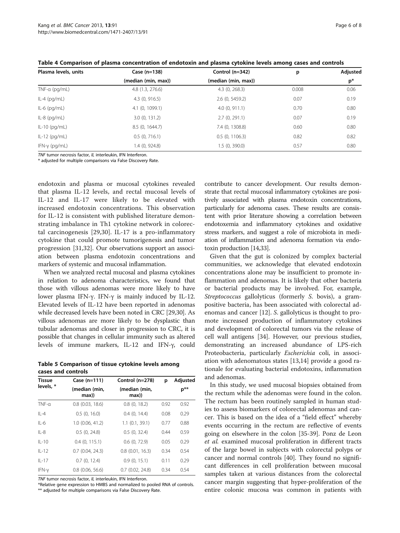| Plasma levels, units  | Case $(n=138)$      | Control $(n=342)$   | p     | Adjusted |  |
|-----------------------|---------------------|---------------------|-------|----------|--|
|                       | (median (min, max)) | (median (min, max)) |       | $p^*$    |  |
| TNF- $\alpha$ (pg/mL) | 4.8(1.3, 276.6)     | 4.3(0, 268.3)       | 0.008 | 0.06     |  |
| $IL-4$ (pg/mL)        | 4.3(0, 916.5)       | 2.6(0, 5459.2)      | 0.07  | 0.19     |  |
| $IL-6$ (pg/mL)        | 4.1(0, 1099.1)      | 4.0(0, 911.1)       | 0.70  | 0.80     |  |
| $IL-8$ (pg/mL)        | 3.0(0, 131.2)       | 2.7(0, 291.1)       | 0.07  | 0.19     |  |
| $IL-10$ (pg/mL)       | 8.5(0, 1644.7)      | 7.4 (0, 1308.8)     | 0.60  | 0.80     |  |
| $IL-12$ (pg/mL)       | 0.5(0, 716.1)       | 0.5(0, 1106.3)      | 0.82  | 0.82     |  |
| IFN- $\gamma$ (pg/mL) | 1.4 (0, 924.8)      | 1.5(0, 390.0)       | 0.57  | 0.80     |  |

<span id="page-5-0"></span>Table 4 Comparison of plasma concentration of endotoxin and plasma cytokine levels among cases and controls

TNF tumor necrosis factor, IL interleukin, IFN Interferon.

\* adjusted for multiple comparisons via False Discovery Rate.

endotoxin and plasma or mucosal cytokines revealed that plasma IL-12 levels, and rectal mucosal levels of IL-12 and IL-17 were likely to be elevated with increased endotoxin concentrations. This observation for IL-12 is consistent with published literature demonstrating imbalance in Th1 cytokine network in colorectal carcinogenesis [[29,30](#page-7-0)]. IL-17 is a pro-inflammatory cytokine that could promote tumorigenesis and tumor progression [[31,32](#page-7-0)]. Our observations support an association between plasma endotoxin concentrations and markers of systemic and mucosal inflammation.

When we analyzed rectal mucosal and plasma cytokines in relation to adenoma characteristics, we found that those with villous adenomas were more likely to have lower plasma IFN-γ. IFN-γ is mainly induced by IL-12. Elevated levels of IL-12 have been reported in adenomas while decreased levels have been noted in CRC [[29,30\]](#page-7-0). As villous adenomas are more likely to be dysplastic than tubular adenomas and closer in progression to CRC, it is possible that changes in cellular immunity such as altered levels of immune markers, IL-12 and IFN-γ, could

Table 5 Comparison of tissue cytokine levels among cases and controls

| <b>Tissue</b> | Case (n=111)           | Control (n=278)        | p    | Adjusted<br>$\mathsf{p}^{**}$ |  |
|---------------|------------------------|------------------------|------|-------------------------------|--|
| levels, *     | (median (min.<br>max)) | (median (min.<br>max)) |      |                               |  |
| $TNF-\alpha$  | $0.8$ (0.03, 18.6)     | $0.8$ (0, 18.2)        | 0.92 | 0.92                          |  |
| $   -4$       | 0.5(0, 16.0)           | $0.4$ (0, 14.4)        | 0.08 | 0.29                          |  |
| $II -6$       | 1.0(0.06, 41.2)        | $1.1$ (0.1, 39.1)      | 0.77 | 0.88                          |  |
| $IL-8$        | 0.5(0, 24.8)           | 0.5(0, 32.4)           | 0.44 | 0.59                          |  |
| $II - 10$     | $0.4$ (0, 115.1)       | $0.6$ $(0, 72.9)$      | 0.05 | 0.29                          |  |
| $   -12$      | 0.7(0.04, 24.3)        | $0.8$ (0.01, 16.3)     | 0.34 | 0.54                          |  |
| $II - 17$     | 0.7(0, 12.4)           | 0.9(0, 15.1)           | 0.11 | 0.29                          |  |
| $IFN-v$       | 0.8(0.06, 56.6)        | $0.7$ $(0.02, 24.8)$   | 0.34 | 0.54                          |  |

TNF tumor necrosis factor, IL interleukin, IFN Interferon.

\*Relative gene expression to HMBS and normalized to pooled RNA of controls. \*\* adjusted for multiple comparisons via False Discovery Rate.

contribute to cancer development. Our results demonstrate that rectal mucosal inflammatory cytokines are positively associated with plasma endotoxin concentrations, particularly for adenoma cases. These results are consistent with prior literature showing a correlation between endotoxemia and inflammatory cytokines and oxidative stress markers, and suggest a role of microbiota in mediation of inflammation and adenoma formation via endotoxin production [\[14,33](#page-7-0)].

Given that the gut is colonized by complex bacterial communities, we acknowledge that elevated endotoxin concentrations alone may be insufficient to promote inflammation and adenomas. It is likely that other bacteria or bacterial products may be involved. For, example, Streptococcus gallolyticus (formerly S. bovis), a grampositive bacteria, has been associated with colorectal adenomas and cancer [[12](#page-7-0)]. S. gallolyticus is thought to promote increased production of inflammatory cytokines and development of colorectal tumors via the release of cell wall antigens [[34](#page-7-0)]. However, our previous studies, demonstrating an increased abundance of LPS-rich Proteobacteria, particularly Escherichia coli, in association with adenomatous states [\[13,14\]](#page-7-0) provide a good rationale for evaluating bacterial endotoxins, inflammation and adenomas.

In this study, we used mucosal biopsies obtained from the rectum while the adenomas were found in the colon. The rectum has been routinely sampled in human studies to assess biomarkers of colorectal adenomas and cancer. This is based on the idea of a "field effect" whereby events occurring in the rectum are reflective of events going on elsewhere in the colon [[35-39](#page-7-0)]. Ponz de Leon et al. examined mucosal proliferation in different tracts of the large bowel in subjects with colorectal polyps or cancer and normal controls [\[40](#page-7-0)]. They found no significant differences in cell proliferation between mucosal samples taken at various distances from the colorectal cancer margin suggesting that hyper-proliferation of the entire colonic mucosa was common in patients with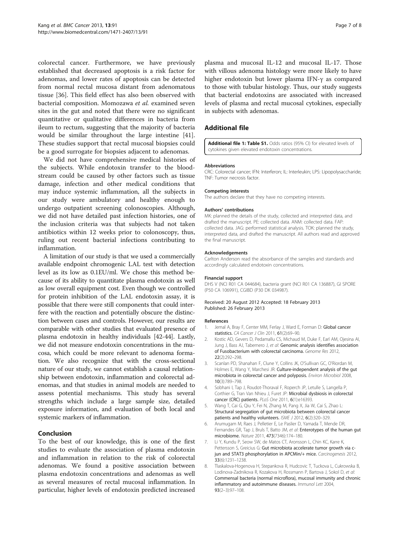<span id="page-6-0"></span>colorectal cancer. Furthermore, we have previously established that decreased apoptosis is a risk factor for adenomas, and lower rates of apoptosis can be detected from normal rectal mucosa distant from adenomatous tissue [\[36](#page-7-0)]. This field effect has also been observed with bacterial composition. Momozawa et al. examined seven sites in the gut and noted that there were no significant quantitative or qualitative differences in bacteria from ileum to rectum, suggesting that the majority of bacteria would be similar throughout the large intestine [\[41](#page-7-0)]. These studies support that rectal mucosal biopsies could be a good surrogate for biopsies adjacent to adenomas.

We did not have comprehensive medical histories of the subjects. While endotoxin transfer to the bloodstream could be caused by other factors such as tissue damage, infection and other medical conditions that may induce systemic inflammation, all the subjects in our study were ambulatory and healthy enough to undergo outpatient screening colonoscopies. Although, we did not have detailed past infection histories, one of the inclusion criteria was that subjects had not taken antibiotics within 12 weeks prior to colonoscopy, thus, ruling out recent bacterial infections contributing to inflammation.

A limitation of our study is that we used a commercially available endpoint chromogenic LAL test with detection level as its low as 0.1EU/ml. We chose this method because of its ability to quantitate plasma endotoxin as well as low overall equipment cost. Even though we controlled for protein inhibition of the LAL endotoxin assay, it is possible that there were still components that could interfere with the reaction and potentially obscure the distinction between cases and controls. However, our results are comparable with other studies that evaluated presence of plasma endotoxin in healthy individuals [\[42-44\]](#page-7-0). Lastly, we did not measure endotoxin concentrations in the mucosa, which could be more relevant to adenoma formation. We also recognize that with the cross-sectional nature of our study, we cannot establish a causal relationship between endotoxin, inflammation and colorectal adenomas, and that studies in animal models are needed to assess potential mechanisms. This study has several strengths which include a large sample size, detailed exposure information, and evaluation of both local and systemic markers of inflammation.

## Conclusion

To the best of our knowledge, this is one of the first studies to evaluate the association of plasma endotoxin and inflammation in relation to the risk of colorectal adenomas. We found a positive association between plasma endotoxin concentrations and adenomas as well as several measures of rectal mucosal inflammation. In particular, higher levels of endotoxin predicted increased

plasma and mucosal IL-12 and mucosal IL-17. Those with villous adenoma histology were more likely to have higher endotoxin but lower plasma IFN-γ as compared to those with tubular histology. Thus, our study suggests that bacterial endotoxins are associated with increased levels of plasma and rectal mucosal cytokines, especially in subjects with adenomas.

## Additional file

[Additional file 1: Table S1.](http://www.biomedcentral.com/content/supplementary/1471-2407-13-91-S1.docx) Odds ratios (95% CI) for elevated levels of cytokines given elevated endotoxin concentrations.

### Abbreviations

CRC: Colorectal cancer; IFN: Interferon; IL: Interleukin; LPS: Lipopolysaccharide; TNF: Tumor necrosis factor.

#### Competing interests

The authors declare that they have no competing interests.

#### Authors' contributions

MK: planned the details of the study, collected and interpreted data, and drafted the manuscript. PE: collected data. ANM: collected data. FAP: collected data. JAG: performed statistical analysis. TOK: planned the study, interpreted data, and drafted the manuscript. All authors read and approved the final manuscript.

#### Acknowledgements

Carlton Anderson read the absorbance of the samples and standards and accordingly calculated endotoxin concentrations.

#### Financial support

DHS V (NCI R01 CA 044684), bacteria grant (NCI R01 CA 136887), GI SPORE (P50 CA 106991), CGIBD (P30 DK 034987).

### Received: 20 August 2012 Accepted: 18 February 2013 Published: 26 February 2013

### References

- 1. Jemal A, Bray F, Center MM, Ferlay J, Ward E, Forman D: Global cancer statistics. CA Cancer J Clin 2011, 61(2):69-90.
- 2. Kostic AD, Gevers D, Pedamallu CS, Michaud M, Duke F, Earl AM, Ojesina AI, Jung J, Bass AJ, Tabernero J, et al: Genomic analysis identifies association of Fusobacterium with colorectal carcinoma. Genome Res 2012, 22(2):292–298.
- 3. Scanlan PD, Shanahan F, Clune Y, Collins JK, O'Sullivan GC, O'Riordan M, Holmes E, Wang Y, Marchesi JR: Culture-independent analysis of the gut microbiota in colorectal cancer and polyposis. Environ Microbiol 2008, 10(3):789–798.
- 4. Sobhani I, Tap J, Roudot-Thoraval F, Roperch JP, Letulle S, Langella P, Corthier G, Tran Van Nhieu J, Furet JP: Microbial dysbiosis in colorectal cancer (CRC) patients. PLoS One 2011, 6(1):e16393.
- 5. Wang T, Cai G, Qiu Y, Fei N, Zhang M, Pang X, Jia W, Cai S, Zhao L: Structural segregation of gut microbiota between colorectal cancer patients and healthy volunteers. ISME J 2012, 6(2):320–329.
- 6. Arumugam M, Raes J, Pelletier E, Le Paslier D, Yamada T, Mende DR, Fernandes GR, Tap J, Bruls T, Batto JM, et al: Enterotypes of the human gut microbiome. Nature 2011, 473(7346):174–180.
- 7. Li Y, Kundu P, Seow SW, de Matos CT, Aronsson L, Chin KC, Karre K, Pettersson S, Greicius G: Gut microbiota accelerate tumor growth via cjun and STAT3 phosphorylation in APCMin/+ mice. Carcinogenesis 2012, 33(6):1231–1238.
- 8. Tlaskalova-Hogenova H, Stepankova R, Hudcovic T, Tuckova L, Cukrowska B, Lodinova-Zadnikova R, Kozakova H, Rossmann P, Bartova J, Sokol D, et al: Commensal bacteria (normal microflora), mucosal immunity and chronic inflammatory and autoimmune diseases. Immunol Lett 2004, 93(2–3):97–108.